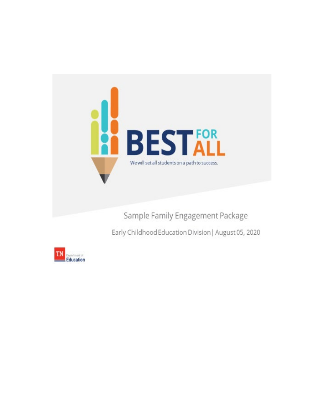

Sample Family Engagement Package

Early Childhood Education Division I August 05, 2020

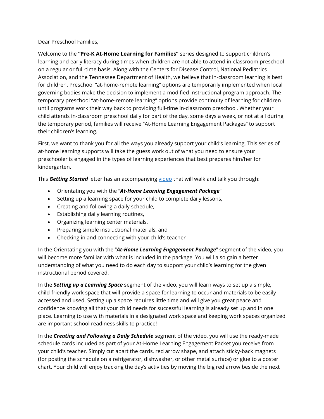#### Dear Preschool Families,

Welcome to the **"Pre-K At-Home Learning for Families"** series designed to support children's learning and early literacy during times when children are not able to attend in-classroom preschool on a regular or full-time basis. Along with the Centers for Disease Control, National Pediatrics Association, and the Tennessee Department of Health, we believe that in-classroom learning is best for children. Preschool "at-home-remote learning" options are temporarily implemented when local governing bodies make the decision to implement a modified instructional program approach. The temporary preschool "at-home-remote learning" options provide continuity of learning for children until programs work their way back to providing full-time in-classroom preschool. Whether your child attends in-classroom preschool daily for part of the day, some days a week, or not at all during the temporary period, families will receive "At-Home Learning Engagement Packages" to support their children's learning.

First, we want to thank you for all the ways you already support your child's learning. This series of at-home learning supports will take the guess work out of what you need to ensure your preschooler is engaged in the types of learning experiences that best prepares him/her for kindergarten.

This *Getting Started* letter has an accompanying <u>video</u> that will walk and talk you through:

- Orientating you with the "*At-Home Learning Engagement Package*"
- Setting up a learning space for your child to complete daily lessons,
- Creating and following a daily schedule,
- Establishing daily learning routines,
- Organizing learning center materials,
- Preparing simple instructional materials, and
- Checking in and connecting with your child's teacher

In the Orientating you with the "*At-Home Learning Engagement Package*" segment of the video, you will become more familiar with what is included in the package. You will also gain a better understanding of what you need to do each day to support your child's learning for the given instructional period covered.

In the *Setting up a Learning Space* segment of the video, you will learn ways to set up a simple, child-friendly work space that will provide a space for learning to occur and materials to be easily accessed and used. Setting up a space requires little time and will give you great peace and confidence knowing all that your child needs for successful learning is already set up and in one place. Learning to use with materials in a designated work space and keeping work spaces organized are important school readiness skills to practice!

In the *Creating and Following a Daily Schedule* segment of the video, you will use the ready-made schedule cards included as part of your At-Home Learning Engagement Packet you receive from your child's teacher. Simply cut apart the cards, red arrow shape, and attach sticky-back magnets (for posting the schedule on a refrigerator, dishwasher, or other metal surface) or glue to a poster chart. Your child will enjoy tracking the day's activities by moving the big red arrow beside the next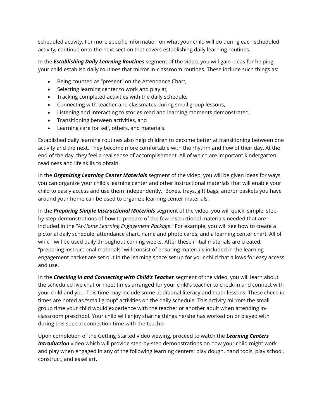scheduled activity. For more specific information on what your child will do during each scheduled activity, continue onto the next section that covers establishing daily learning routines.

In the *Establishing Daily Learning Routines* segment of the video, you will gain ideas for helping your child establish daily routines that mirror in-classroom routines. These include such things as:

- Being counted as "present" on the Attendance Chart,
- Selecting learning center to work and play at,
- Tracking completed activities with the daily schedule,
- Connecting with teacher and classmates during small group lessons,
- Listening and interacting to stories read and learning moments demonstrated,
- Transitioning between activities, and
- Learning care for self, others, and materials.

Established daily learning routines also help children to become better at transitioning between one activity and the next. They become more comfortable with the rhythm and flow of their day. At the end of the day, they feel a real sense of accomplishment. All of which are important kindergarten readiness and life skills to obtain.

In the *Organizing Learning Center Materials* segment of the video, you will be given ideas for ways you can organize your child's learning center and other instructional materials that will enable your child to easily access and use them independently. Boxes, trays, gift bags, and/or baskets you have around your home can be used to organize learning center materials.

and use. In the *Preparing Simple Instructional Materials* segment of the video, you will quick, simple, stepby-step demonstrations of how to prepare of the few instructional materials needed that are included in the "*At-Home Learning Engagement Package*." For example, you will see how to create a pictorial daily schedule, attendance chart, name and photo cards, and a learning center chart. All of which will be used daily throughout coming weeks. After these initial materials are created, "preparing instructional materials" will consist of ensuring materials included in the learning engagement packet are set out in the learning space set up for your child that allows for easy access

In the **Checking in and Connecting with Child's Teacher** segment of the video, you will learn about the scheduled live chat or meet times arranged for your child's teacher to check-in and connect with your child and you. This time may include some additional literacy and math lessons. These check-in times are noted as "small group" activities on the daily schedule. This activity mirrors the small group time your child would experience with the teacher or another adult when attending inclassroom preschool. Your child will enjoy sharing things he/she has worked on or played with during this special connection time with the teacher.

Upon completion of the Getting Started video viewing, proceed to watch the *Learning Centers Introduction* video which will provide step-by-step demonstrations on how your child might work and play when engaged in any of the following learning centers: play dough, hand tools, play school, construct, and easel art.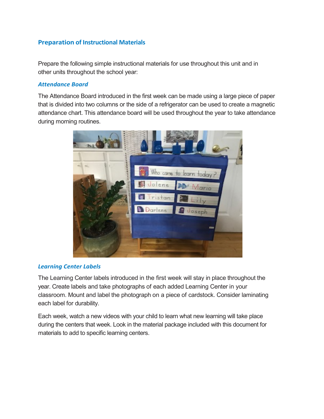# **Preparation of Instructional Materials**

 Prepare the following simple instructional materials for use throughout this unit and in other units throughout the school year:

## *Attendance Board*

 The Attendance Board introduced in the first week can be made using a large piece of paper that is divided into two columns or the side of a refrigerator can be used to create a magnetic attendance chart. This attendance board will be used throughout the year to take attendance during morning routines.



### *Learning Center Labels*

 The Learning Center labels introduced in the first week will stay in place throughout the classroom. Mount and label the photograph on a piece of cardstock. Consider laminating year. Create labels and take photographs of each added Learning Center in your each label for durability.

 Each week, watch a new videos with your child to learn what new learning will take place during the centers that week. Look in the material package included with this document for materials to add to specific learning centers.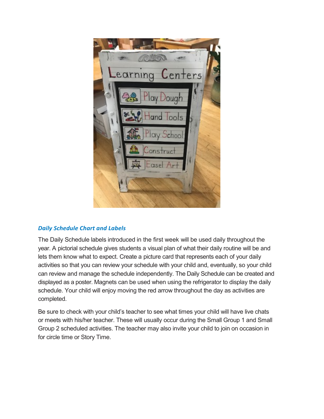

# *Daily Schedule Chart and Labels*

 The Daily Schedule labels introduced in the first week will be used daily throughout the year. A pictorial schedule gives students a visual plan of what their daily routine will be and lets them know what to expect. Create a picture card that represents each of your daily displayed as a poster. Magnets can be used when using the refrigerator to display the daily schedule. Your child will enjoy moving the red arrow throughout the day as activities are completed. activities so that you can review your schedule with your child and, eventually, so your child can review and manage the schedule independently. The Daily Schedule can be created and

completed.<br>Be sure to check with your child's teacher to see what times your child will have live chats or meets with his/her teacher. These will usually occur during the Small Group 1 and Small Group 2 scheduled activities. The teacher may also invite your child to join on occasion in for circle time or Story Time.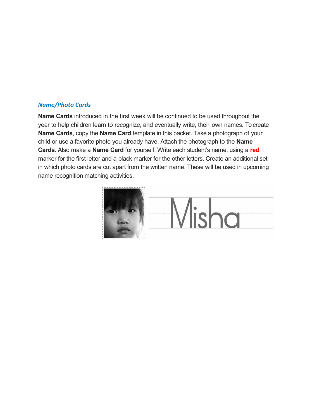#### *Name/Photo Cards*

 year to help children learn to recognize, and eventually write, their own names. To create **Name Cards**, copy the **Name Card** template in this packet. Take a photograph of your child or use a favorite photo you already have. Attach the photograph to the **Name**  marker for the first letter and a black marker for the other letters. Create an additional set in which photo cards are cut apart from the written name. These will be used in upcoming **Name Cards** introduced in the first week will be continued to be used throughout the **Cards**. Also make a **Name Card** for yourself. Write each student's name, using a **red**  name recognition matching activities.

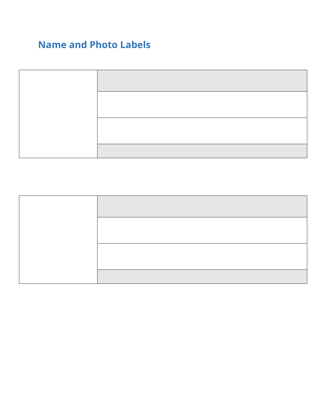# **Name and Photo Labels**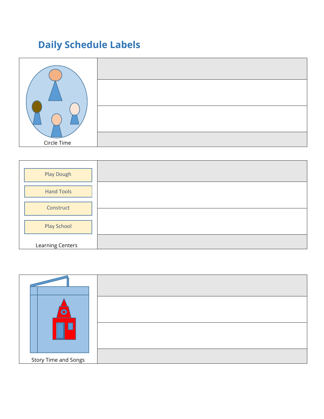# **Daily Schedule Labels**





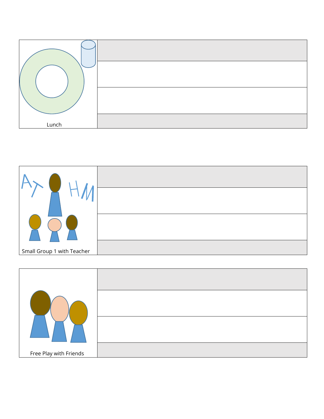



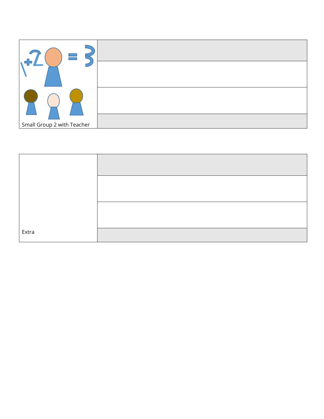

| Extra |  |
|-------|--|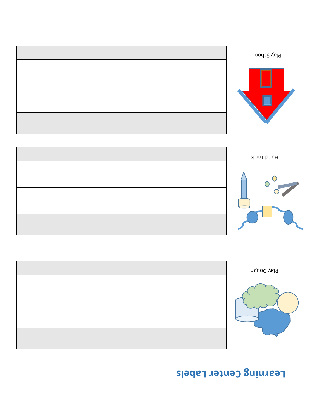# Learning Center Labels





| Play School |
|-------------|
|             |
|             |
|             |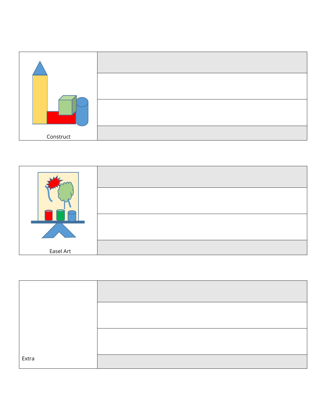



| Extra |  |
|-------|--|